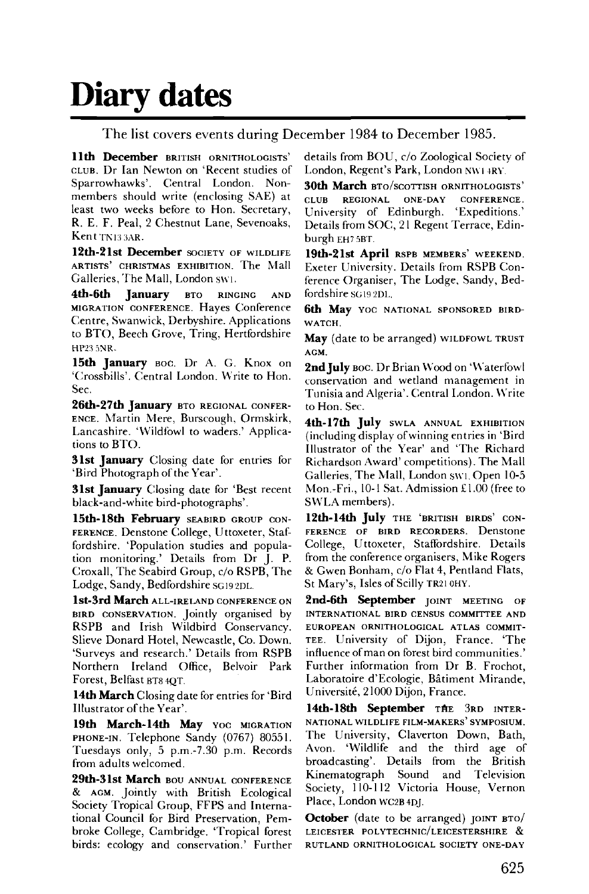## **Diary dates**

The list covers events during December 1984 to December 1985.

**11th December** BRITISH ORNITHOLOGISTS' CLUB. Dr Ian Newton on 'Recent studies of Sparrowhawks'. Central London. Nonmembers should write (enclosing SAE) at least two weeks before to Hon. Secretary, R. E. F. Peal, 2 Chestnut Lane, Sevenoaks, Kent TN133AR.

**12th-21st December** SOCIETY OF WILDLIFE ARTISTS' CHRISTMAS EXHIBITION. The Mall Galleries, The Mall, London swi.

**4th-6th January** BTO RINGING AND MIGRATION CONFERENCE. Hayes Conference Centre, Swanwick, Derbyshire. Applications to BTO, Beech Grove, Tring, Hertfordshire HP23 5NR.

**15th January** BOC. Dr A. G. Knox on 'Crossbills'. Central London. Write to Hon. Sec.

**26th-27th January** BTO REGIONAL CONFER-ENCE. Martin Mere, Burscough, Ormskirk, Lancashire. 'Wildfowl to waders.' Applications to BTO.

**31st January** Closing date for entries for 'Bird Photograph of the Year'.

**31st January** Closing date for 'Best recent black-and-white bird-photographs'.

**15th- 18th February** SEABIRD GROUP CON-FERENCE. Denstone College, Uttoxeter, Staffordshire. 'Population studies and population monitoring.' Details from Dr J. P. Croxall, The Seabird Group, c/o RSPB, The Lodge, Sandy, Bedfordshire SG19 2DL.

**lst-3rd March** ALL-IRELAND CONFERENCE ON BIRD CONSERVATION. Jointly organised by RSPB and Irish Wildbird Conservancy. Slieve Donard Hotel, Newcastle, Co. Down. 'Surveys and research.' Details from RSPB Northern Ireland Office, Belvoir Park Forest, Belfast BT8 4QT.

**14th March** Closing date for entries for 'Bird Illustrator of the Year'.

19th March-14th May YOC MIGRATION PHONE-IN. Telephone Sandy (0767) 80551. Tuesdays only, 5 p.m.-7.30 p.m. Records from adults welcomed.

**29th-31st March** BOU ANNUAL CONFERENCE & AGM. Jointly with British Ecological Society Tropical Group, FFPS and International Council for Bird Preservation, Pembroke College, Cambridge. 'Tropical forest birds: ecology and conservation.' Further details from BOU , c/o Zoological Society of London, Regent's Park, London NWI +RY.

**30th March** BTO/SCOTTISH ORNITHOLOGISTS' CLUB REGIONAL ONE-DAY CONFERENCE. University of Edinburgh. 'Expeditions.' Details from SOC, 21 Regent Terrace, Edinburgh EH7 5BT.

**19th-21st April** RSPB MEMBERS' WEEKEND. Exeter University. Details from RSPB Conference Organiser, The Lodge, Sandy, Bedfordshire SG 19 2DI..

**6th May** YOC NATIONAL SPONSORED BIRD-WATCH.

**May** (date to be arranged) WILDFOWL TRUST AGM.

2nd July Boc. Dr Brian Wood on 'Waterfowl conservation and wetland management in Tunisia and Algeria'. Central London. Write to Hon. Sec.

**4th-17th July** SWLA ANNUAL EXHIBITION (including display of winning entries in 'Bird Illustrator of the Year' and 'The Richard Richardson Award' competitions). The Mall Galleries, The Mall, London swi. Open 10-5 Mon.-Fri., 10-1 Sat. Admission £1.00 (free to SWLA members).

**12th-14th July** THE 'BRITISH BIRDS' CON-FERENCE OF BIRD RECORDERS. Denstone College, Uttoxeter, Staffordshire. Details from the conference organisers, Mike Rogers & Gwen Bonham, c/o Flat 4, Pentland Flats, St Mary's, Isles of Scilly TR21 0HY.

**2nd-6th September** JOINT MEETING OF INTERNATIONAL BIRD CENSUS COMMITTEE AND EUROPEAN ORNITHOLOGICAL ATLAS COMMIT-TEE. University of Dijon, France. 'The influence of man on forest bird communities.' Further information from Dr B. Frochot, Laboratoire d'Ecologie, Bâtiment Mirande, Universite, 21000 Dijon, France.

14th-18th September THE 3RD INTER-NATIONAL WILDLIFE FILM-MAKERS' SYMPOSIUM. The University, Claverton Down, Bath, Avon. 'Wildlife and the third age of broadcasting'. Details from the British Kinematograph Sound and Television Society, 110-112 Victoria House, Vernon Place, London WC2B4DJ.

**October** (date to be arranged) JOINT BTO/ **LEICESTER POLYTECHNIC/LEICESTERSHIRE & RUTLAND ORNITHOLOGICAL SOCIETY ONE-DAY**